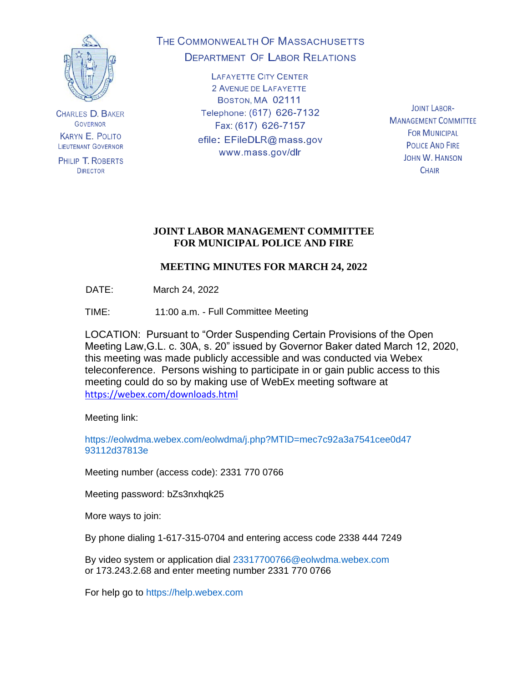

**CHARLES D. BAKER GOVERNOR KARYN E. POLITO LIEUTENANT GOVERNOR** 

PHILIP T. ROBERTS **DIRECTOR** 

# THE COMMONWEALTH OF MASSACHUSETTS **DEPARTMENT OF LABOR RELATIONS**

**LAFAYETTE CITY CENTER** 2 AVENUE DE LAFAYETTE BOSTON, MA 02111 Telephone: (617) 626-7132 Fax: (617) 626-7157 efile: EFileDLR@mass.gov www.mass.gov/dlr

**JOINT LABOR-MANAGEMENT COMMITTEE FOR MUNICIPAL POLICE AND FIRE JOHN W. HANSON CHAIR** 

### **JOINT LABOR MANAGEMENT COMMITTEE FOR MUNICIPAL POLICE AND FIRE**

## **MEETING MINUTES FOR MARCH 24, 2022**

DATE: March 24, 2022

TIME: 11:00 a.m. - Full Committee Meeting

LOCATION: Pursuant to "Order Suspending Certain Provisions of the Open Meeting Law,G.L. c. 30A, s. 20" issued by Governor Baker dated March 12, 2020, this meeting was made publicly accessible and was conducted via Webex teleconference. Persons wishing to participate in or gain public access to this meeting could do so by making use of WebEx meeting software at <https://webex.com/downloads.html>

Meeting link:

https://eolwdma.webex.com/eolwdma/j.php?MTID=mec7c92a3a7541cee0d47 93112d37813e

Meeting number (access code): 2331 770 0766

Meeting password: bZs3nxhqk25

More ways to join:

By phone dialing 1-617-315-0704 and entering access code 2338 444 7249

By video system or application dial 23317700766@eolwdma.webex.com or 173.243.2.68 and enter meeting number 2331 770 0766

For help go to https://help.webex.com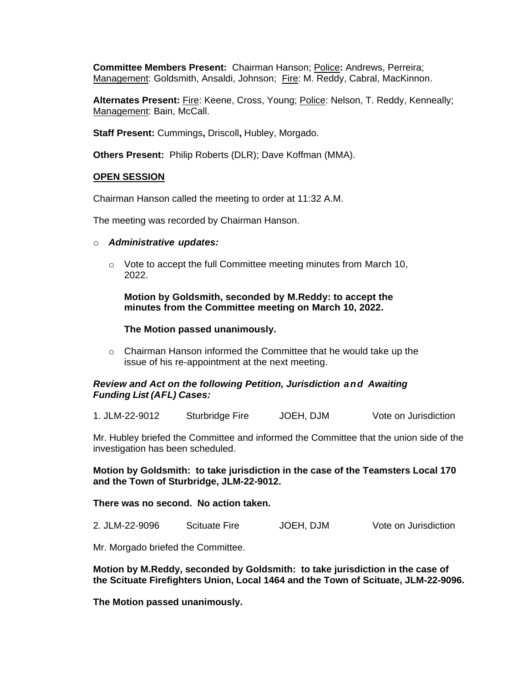**Committee Members Present:** Chairman Hanson; Police**:** Andrews, Perreira; Management: Goldsmith, Ansaldi, Johnson; Fire: M. Reddy, Cabral, MacKinnon.

**Alternates Present:** Fire: Keene, Cross, Young; Police: Nelson, T. Reddy, Kenneally; Management: Bain, McCall.

**Staff Present:** Cummings**,** Driscoll**,** Hubley, Morgado.

**Others Present:** Philip Roberts (DLR); Dave Koffman (MMA).

#### **OPEN SESSION**

Chairman Hanson called the meeting to order at 11:32 A.M.

The meeting was recorded by Chairman Hanson.

- o *Administrative updates:*
	- $\circ$  Vote to accept the full Committee meeting minutes from March 10, 2022.

**Motion by Goldsmith, seconded by M.Reddy: to accept the minutes from the Committee meeting on March 10, 2022.**

#### **The Motion passed unanimously.**

o Chairman Hanson informed the Committee that he would take up the issue of his re-appointment at the next meeting.

#### *Review and Act on the following Petition, Jurisdiction and Awaiting Funding List (AFL) Cases:*

1. JLM-22-9012 Sturbridge Fire JOEH, DJM Vote on Jurisdiction

Mr. Hubley briefed the Committee and informed the Committee that the union side of the investigation has been scheduled.

**Motion by Goldsmith: to take jurisdiction in the case of the Teamsters Local 170 and the Town of Sturbridge, JLM-22-9012.** 

**There was no second. No action taken.**

2. JLM-22-9096 Scituate Fire JOEH, DJM Vote on Jurisdiction

Mr. Morgado briefed the Committee.

**Motion by M.Reddy, seconded by Goldsmith: to take jurisdiction in the case of the Scituate Firefighters Union, Local 1464 and the Town of Scituate, JLM-22-9096.**

**The Motion passed unanimously.**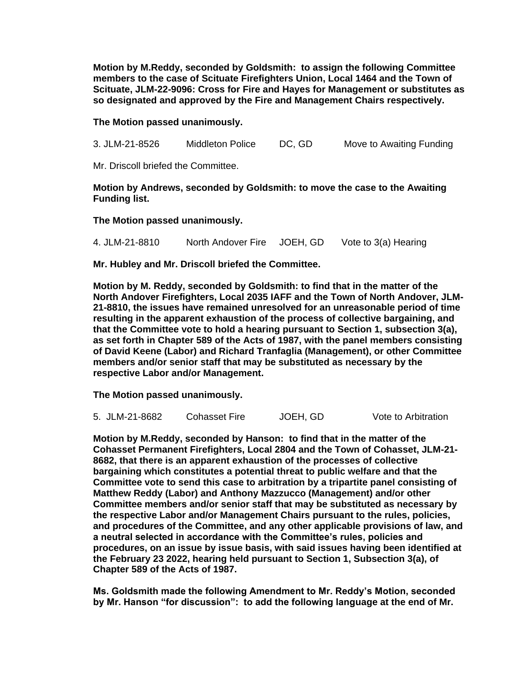**Motion by M.Reddy, seconded by Goldsmith: to assign the following Committee members to the case of Scituate Firefighters Union, Local 1464 and the Town of Scituate, JLM-22-9096: Cross for Fire and Hayes for Management or substitutes as so designated and approved by the Fire and Management Chairs respectively.**

#### **The Motion passed unanimously.**

3. JLM-21-8526 Middleton Police DC, GD Move to Awaiting Funding

Mr. Driscoll briefed the Committee.

#### **Motion by Andrews, seconded by Goldsmith: to move the case to the Awaiting Funding list.**

**The Motion passed unanimously.**

4. JLM-21-8810 North Andover Fire JOEH, GD Vote to 3(a) Hearing

**Mr. Hubley and Mr. Driscoll briefed the Committee.**

**Motion by M. Reddy, seconded by Goldsmith: to find that in the matter of the North Andover Firefighters, Local 2035 IAFF and the Town of North Andover, JLM-21-8810, the issues have remained unresolved for an unreasonable period of time resulting in the apparent exhaustion of the process of collective bargaining, and that the Committee vote to hold a hearing pursuant to Section 1, subsection 3(a), as set forth in Chapter 589 of the Acts of 1987, with the panel members consisting of David Keene (Labor) and Richard Tranfaglia (Management), or other Committee members and/or senior staff that may be substituted as necessary by the respective Labor and/or Management.**

**The Motion passed unanimously.**

|  | 5. JLM-21-8682 | Cohasset Fire | JOEH, GD | Vote to Arbitration |
|--|----------------|---------------|----------|---------------------|
|--|----------------|---------------|----------|---------------------|

**Motion by M.Reddy, seconded by Hanson: to find that in the matter of the Cohasset Permanent Firefighters, Local 2804 and the Town of Cohasset, JLM-21- 8682, that there is an apparent exhaustion of the processes of collective bargaining which constitutes a potential threat to public welfare and that the Committee vote to send this case to arbitration by a tripartite panel consisting of Matthew Reddy (Labor) and Anthony Mazzucco (Management) and/or other Committee members and/or senior staff that may be substituted as necessary by the respective Labor and/or Management Chairs pursuant to the rules, policies, and procedures of the Committee, and any other applicable provisions of law, and a neutral selected in accordance with the Committee's rules, policies and procedures, on an issue by issue basis, with said issues having been identified at the February 23 2022, hearing held pursuant to Section 1, Subsection 3(a), of Chapter 589 of the Acts of 1987.**

**Ms. Goldsmith made the following Amendment to Mr. Reddy's Motion, seconded by Mr. Hanson "for discussion": to add the following language at the end of Mr.**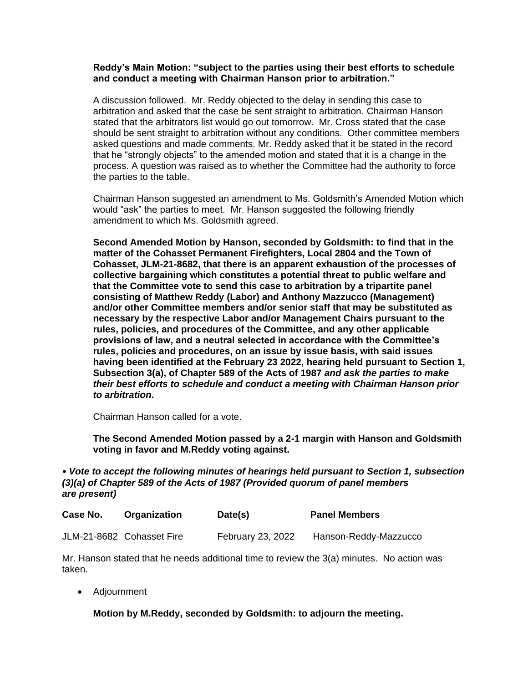#### **Reddy's Main Motion: "subject to the parties using their best efforts to schedule and conduct a meeting with Chairman Hanson prior to arbitration."**

A discussion followed. Mr. Reddy objected to the delay in sending this case to arbitration and asked that the case be sent straight to arbitration. Chairman Hanson stated that the arbitrators list would go out tomorrow. Mr. Cross stated that the case should be sent straight to arbitration without any conditions. Other committee members asked questions and made comments. Mr. Reddy asked that it be stated in the record that he "strongly objects" to the amended motion and stated that it is a change in the process. A question was raised as to whether the Committee had the authority to force the parties to the table.

Chairman Hanson suggested an amendment to Ms. Goldsmith's Amended Motion which would "ask" the parties to meet. Mr. Hanson suggested the following friendly amendment to which Ms. Goldsmith agreed.

**Second Amended Motion by Hanson, seconded by Goldsmith: to find that in the matter of the Cohasset Permanent Firefighters, Local 2804 and the Town of Cohasset, JLM-21-8682, that there is an apparent exhaustion of the processes of collective bargaining which constitutes a potential threat to public welfare and that the Committee vote to send this case to arbitration by a tripartite panel consisting of Matthew Reddy (Labor) and Anthony Mazzucco (Management) and/or other Committee members and/or senior staff that may be substituted as necessary by the respective Labor and/or Management Chairs pursuant to the rules, policies, and procedures of the Committee, and any other applicable provisions of law, and a neutral selected in accordance with the Committee's rules, policies and procedures, on an issue by issue basis, with said issues having been identified at the February 23 2022, hearing held pursuant to Section 1, Subsection 3(a), of Chapter 589 of the Acts of 1987** *and ask the parties to make their best efforts to schedule and conduct a meeting with Chairman Hanson prior to arbitration***.**

Chairman Hanson called for a vote.

**The Second Amended Motion passed by a 2-1 margin with Hanson and Goldsmith voting in favor and M.Reddy voting against.**

### • *Vote to accept the following minutes of hearings held pursuant to Section 1, subsection (3)(a) of Chapter 589 of the Acts of 1987 (Provided quorum of panel members are present)*

| Case No. | Organization              | Date(s)           | <b>Panel Members</b>  |
|----------|---------------------------|-------------------|-----------------------|
|          | JLM-21-8682 Cohasset Fire | February 23, 2022 | Hanson-Reddy-Mazzucco |

Mr. Hanson stated that he needs additional time to review the 3(a) minutes. No action was taken.

• Adjournment

**Motion by M.Reddy, seconded by Goldsmith: to adjourn the meeting.**